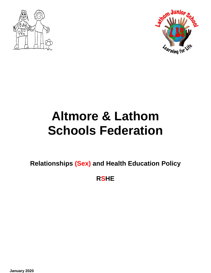



# **Altmore & Lathom Schools Federation**

**Relationships (Sex) and Health Education Policy** 

**RSHE**

**January 2020**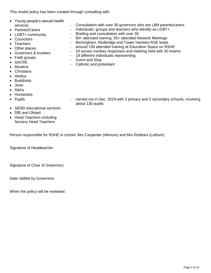This model policy has been created through consulting with:

- Young people's sexual health services
- Parents/Carers
- LGBT+ community
- Councilors
- Teachers
- Other places
- Governors & trustees
- Faith groups
- SACRE
- Muslims
- Christians
- Hindus
- Buddhists
- Jews
- Sikhs
- Humanists
- Pupils

- carried out in Dec. 2019 with 3 primary and 3 secondary schools, involving about 130 pupils

- Consultation with over 30 governors who are LBN parents/carers Individuals, groups and teachers who identify as LGBT+

- 80+ attended training, 55+ attended Network Meetings - Birmingham, Redbridge and Tower Hamlets RSE leads - around 130 attended training at Education Space on RSHE - 20 survey monkey responses and meeting held with 30 Imams

- Briefing and consultation with over 30

- 19 different individuals representing

- SEND educational services
- DfE and Ofsted
- Head Teachers including Nursery Head Teachers

Person responsible for RSHE in school: Mrs Carpenter (Altmore) and Mrs Robbani (Lathom)

- Sunni and Shia

- Catholic and protestant

Signature of Headteacher:

Signature of Chair of Governors:

Date ratified by Governors:

When the policy will be reviewed: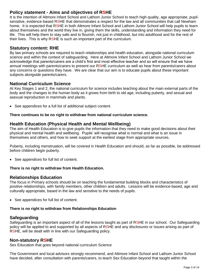# **Policy statement - Aims and objectives of RSHE**

It is the intention of Altmore Infant School and Lathom Junior School to teach high quality, age appropriate, pupilsensitive, evidence-based RSHE that demonstrates a respect for the law and all communities that call Newham home. It is expected that RSHE in both Altmore Infant School and Lathom Junior School will help pupils to learn about themselves and the world they live in, giving them the skills, understanding and information they need for life. This will help them to stay safe and to flourish, not just in childhood, but into adulthood and for the rest of their lives. This is why RSHE is such an important part of the curriculum.

# **Statutory content: RHE**

By law primary schools are required to teach relationships and health education, alongside national curriculum science and within the context of safeguarding. Here at Altmore Infant School and Lathom Junior School we acknowledge that parents/carers are a child's first and most effective teacher and so will ensure that we have annual meetings with parents/carers to present our RSHE curriculum as well as hear from parents/carers about any concerns or questions they have. We are clear that our aim is to educate pupils about these important subjects alongside parents/carers.

# **National Curriculum Science**

At Key Stages 1 and 2, the national curriculum for science includes teaching about the main external parts of the body and the changes to the human body as it grows from birth to old age, including puberty, and sexual and asexual reproduction in mammals and plants.

See appendices for a full list of additional subject content.

# **There continues to be no right to withdraw from national curriculum science.**

# **Health Education (Physical Health and Mental Wellbeing)**

The aim of Health Education is to give pupils the information that they need to make good decisions about their physical and mental health and wellbeing. Pupils' will recognise what is normal and what is an issue in themselves and others, and how to seek support at the earliest stage from appropriate sources.

Puberty, including menstruation, will be covered in Health Education and should, as far as possible, be addressed before children begin puberty.

See appendices for full list of content.

#### **There is no right to withdraw from Health Education.**

## **Relationships Education**

The focus in Primary schools should be on teaching the fundamental building blocks and characteristics of positive relationships, with family members, other children and adults. Lessons will be evidence-based, age and culturally appropriate, based in the law and sensitive to the needs of pupils.

• See appendices for full list of content.

## **There is no right to withdraw from Relationships Education**

# **Safeguarding**

Safeguarding is an important aspect of all of the lessons taught as part of RSHE in our school. Our Safeguarding policy will be applied to and supported by all aspects of RSHE and any disclosures or issues arising as part of RSHE, will be dealt with in line with our Safeguarding policy.

## **Non-statutory RSHE**

Sex Education that goes beyond national curriculum Science

The Government and local advisors strongly recommend, and Altmore Infant School and Lathom Junior School have decided, after consultation with parents/carers, to teach Sex Education beyond that taught within the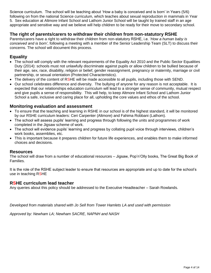Science curriculum. The school will be teaching about 'How a baby is conceived and is born' in Years (5/6) following on from the national Science curriculum, which teaches about sexual reproduction in mammals in Year 5. Sex education at Altmore Infant School and Lathom Junior School will be taught by trained staff in an age appropriate and sensitive way and we believe will help children to be ready for their move to secondary school.

# **The right of parents/carers to withdraw their children from non-statutory RSHE**

Parents/carers have a right to withdraw their children from non-statutory RSHE, i.e. '*How a human baby is conceived and is born'*, following a meeting with a member of the Senior Leadership Team (SLT) to discuss their concerns. The school will document this process.

# **Equality**

- The school will comply with the relevant requirements of the Equality Act 2010 and the Public Sector Equalities Duty (2014): schools must not unlawfully discriminate against pupils or allow children to be bullied because of their age, sex, race, disability, religion or belief, gender reassignment, pregnancy or maternity, marriage or civil partnership, or sexual orientation (Protected Characteristics).
- The delivery of the content of RSHE will be made accessible to all pupils, including those with SEND.
- Our school celebrates difference and diversity. The bullying of anyone for any reason is not acceptable. It is expected that our relationships education curriculum will lead to a stronger sense of community, mutual respect and give pupils a sense of responsibility. This will help, to keep Altmore Infant School and Lathom Junior School a safe, inclusive and caring place for all, upholding the core values and ethos of the school.

# **Monitoring evaluation and assessment**

- To ensure that the teaching and learning in RSHE in our school is of the highest standard, it will be monitored by our RSHE curriculum leaders: Ceri Carpenter (Altmore) and Fahima Robbani (Lathom).
- The school will assess pupils' learning and progress through following the units and programmes of work completed in the Jigsaw scheme of work.
- The school will evidence pupils' learning and progress by collating pupil voice through interviews, children's work books, assemblies, etc.
- This is important because it prepares children for future life experiences, and enables them to make informed choices and decisions.

## **Resources**

The school will draw from a number of educational resources – Jigsaw, Pop'n'Olly books, The Great Big Book of Families.

It is the role of the RSHE subject leader to ensure that resources are appropriate and up to date for the school's use in teaching RSHE

## **RSHE curriculum lead teacher**

Any queries about this policy should be addressed to the Executive Headteacher – Sarah Rowlands.

*Developed from materials shared with Jo Sell from Tower Hamlets LA and used with permission*

*Approved by: Newham LA; Newham SACRE, NAPNH and NASH*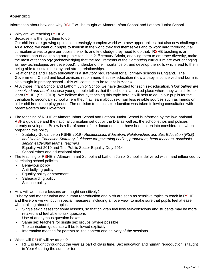# **Appendix 1**

Information about how and why RSHE will be taught at Altmore Infant School and Lathom Junior School

- Why are we teaching RSHE?
- Because it is the right thing to do.
- Our children are growing up in an increasingly complex world with new opportunities, but also new challenges. As a school we want our pupils to flourish in the world they find themselves and to work hard throughout all curriculum areas to give our pupils the skills and knowledge they need to do that. RSHE teaching is an important part of equipping our pupils for life in 21<sup>st</sup> century Britain, enabling them to embrace diversity, make the most of technology (acknowledging that the requirements of the *Computing* curriculum are ever changing as new technologies are developed); understand the importance of, and develop the skills which lead to them being able to sustain healthy and strong relationships.
- Relationships and Health education is a statutory requirement for all primary schools in England. The Government, Ofsted and local advisors recommend that sex education (how a baby is conceived and born) is also taught in primary school – this will continue to be taught in Year 6.
- At Altmore Infant School and Lathom Junior School we have decided to teach sex education, '*How babies are conceived and born'* because young people tell us that the school is a trusted place where they would like to learn RSHE. (Sell 2019). We believe that by teaching this topic here, it will help to equip our pupils for the transition to secondary school where they may learn about sex from less reliable sources such as friends or older children in the playground. The decision to teach sex education was taken following consultation with parents/carers and Governors.
- The teaching of RSHE at Altmore Infant School and Lathom Junior School is informed by the law, national RSHE guidance and the national curriculum set out by the DfE as well as, the school ethos and policies already developed. Below is a list of some of the documents that have been taken into consideration when preparing this policy.
	- Statutory Guidance on RSHE 2019 *Relationships Education, Relationships and Sex Education (RSE) and Health Education Statutory Guidance for governing bodies, proprietors, head teachers, principals, senior leadership teams, teachers*
	- Equality Act 2010 and The Public Sector Equality Duty 2014
	- School ethos and educational aims.
- The teaching of RSHE in Altmore Infant School and Lathom Junior School is delivered within and influenced by all relating school policies
	- Behaviour policy
	- Anti-bullying policy
	- Equality policy or statement
	- Safeguarding policy
	- Science policy
- How will we ensure lessons are taught sensitively?

Puberty and menstruation and human reproduction and birth are seen as sensitive topics to teach in RSHE and therefore we will put in special measures, including an overview, to make sure that pupils feel at ease when talking about these topics.

- Single sex classes for some lessons, so that children feel less self-conscious and students may be more relaxed and feel able to ask questions
- Use of anonymous question boxes
- Same sex teachers for single sex groups (where possible)
- The curriculum guidance will be followed explicitly
- Information meeting for parents re. the content and delivery of the sessions
- When will RSHE will be taught?
	- RHE is taught throughout the year as part of class time, Sex education and human reproduction is taught in Year 6 during the summer term.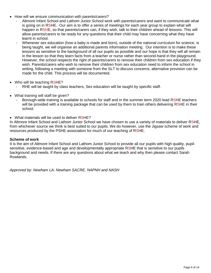- How will we ensure communication with parents/carers?
	- Altmore Infant School and Lathom Junior School work with parents/carers and want to communicate what is going on in RSHE. Our aim is to offer a series of meetings for each year group to explain what will happen in RSHE, so that parents/carers can, if they wish, talk to their children ahead of lessons. This will allow parents/carers to be ready for any questions that their child may have concerning what they have learnt in school.
	- Whenever sex education (how a baby is made and born), outside of the national curriculum for science, is being taught, we will organise an additional parents information meeting. Our intention is to make these lessons as sensitive to the background of all our pupils as possible and our hope is that they will all remain in the lesson so that they learn facts from a teacher or nurse rather than second-hand in the playground. However, the school respects the right of parents/carers to remove their children from sex education if they wish. Parents/carers who wish to remove their children from sex education need to inform the school in writing, following a meeting with someone from the SLT to discuss concerns, alternative provision can be made for the child. This process will be documented.
- Who will be teaching RSHE?
	- RHE will be taught by class teachers, Sex education will be taught by specific staff.
- What training will staff be given?
	- Borough-wide training is available to schools for staff and in the summer term 2020 lead RSHE teachers will be provided with a training package that can be used by them to train others delivering RSHE in their school.
- What materials will be used to deliver RSHE?

In Altmore Infant School and Lathom Junior School we have chosen to use a variety of materials to deliver RSHE, from whichever source we think is best suited to our pupils. We do however, use the Jigsaw scheme of work and resources produced by the PSHE association for much of our teaching of RSHE.

#### **Scheme of work**

It is the aim of Altmore Infant School and Lathom Junior School to provide all our pupils with high quality, pupilsensitive, evidence-based and age and developmentally appropriate RSHE that is sensitive to our pupils background and needs. If there are any questions about what we teach and why then please contact Sarah Rowlands.

*Approved by: Newham LA; Newham SACRE, NAPNH and NASH*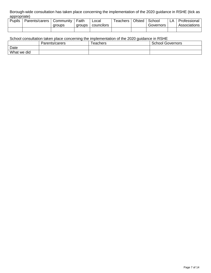Borough-wide consultation has taken place concerning the implementation of the 2020 guidance in RSHE (tick as appropriate)

| <b>Pupils</b> | Parents/carers | Community | Faith  | ∟ocal      | 「eachers | Ofsted | School    | A | Professional |
|---------------|----------------|-----------|--------|------------|----------|--------|-----------|---|--------------|
|               |                | aroups    | aroups | councilors |          |        | Governors |   | Associations |
|               |                |           |        |            |          |        |           |   |              |

# School consultation taken place concerning the implementation of the 2020 guidance in RSHE

|             | Parents/carers | l eachers | School<br>Governors |
|-------------|----------------|-----------|---------------------|
| Date        |                |           |                     |
| What we did |                |           |                     |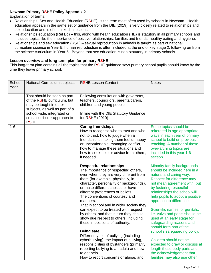#### **Newham Primary RSHE Policy Appendix 2**

Explanation of terms:

- Relationships, Sex and Health Education (RSHE), is the term most often used by schools in Newham. Health education appears in the same set of guidance from the DfE (2019) is very closely related to relationships and sex education and is often linked in lessons.
- Relationships education (Rel Ed) this, along with health education (HE) is statutory in all primary schools and includes topics like the importance of positive relationships, families and friends, healthy eating and hygiene.
- Relationships and sex education (RSE) sexual reproduction in animals is taught as part of national curriculum science in Year 5, human reproduction is often included at the end of key stage 2, following on from the science curriculum in Year 5. Beyond that sex education is non-statutory in primary schools.

#### **Lesson overview and long-term plan for primary RSHE**

This long-term plan contains all the topics that the RSHE guidance says primary school pupils should know by the time they leave primary school.

| School<br>Year | National Curriculum subjects                                                                                                                                                                  | <b>RSHE Lesson Content</b>                                                                                                                                                                                                                                                                                                                                                                                                                                                                                                                                                                                                                                                                                                                                                                                                                                                                                                                    | <b>Notes</b>                                                                                                                                                                                                                                                                                                                                                                                                                                                                                                                                                                                                                                                                                                                   |
|----------------|-----------------------------------------------------------------------------------------------------------------------------------------------------------------------------------------------|-----------------------------------------------------------------------------------------------------------------------------------------------------------------------------------------------------------------------------------------------------------------------------------------------------------------------------------------------------------------------------------------------------------------------------------------------------------------------------------------------------------------------------------------------------------------------------------------------------------------------------------------------------------------------------------------------------------------------------------------------------------------------------------------------------------------------------------------------------------------------------------------------------------------------------------------------|--------------------------------------------------------------------------------------------------------------------------------------------------------------------------------------------------------------------------------------------------------------------------------------------------------------------------------------------------------------------------------------------------------------------------------------------------------------------------------------------------------------------------------------------------------------------------------------------------------------------------------------------------------------------------------------------------------------------------------|
|                | That should be seen as part<br>of the RSHE curriculum, but<br>may be taught in other<br>subjects, as well as part of a<br>school wide, integrated or<br>cross curricular approach to<br>RSHE. | Following consultation with governors,<br>teachers, councillors, parents/carers,<br>children and young people.<br>In line with the DfE Statutory Guidance<br>for RSHE (2019)                                                                                                                                                                                                                                                                                                                                                                                                                                                                                                                                                                                                                                                                                                                                                                  |                                                                                                                                                                                                                                                                                                                                                                                                                                                                                                                                                                                                                                                                                                                                |
| $1 - 6$        |                                                                                                                                                                                               | <b>Caring friendships</b><br>How to recognise who to trust and who<br>not to trust, how to judge when a<br>friendship is making them feel unhappy<br>or uncomfortable, managing conflict,<br>how to manage these situations and<br>how to seek help or advice from others,<br>if needed.<br><b>Respectful relationships</b><br>The importance of respecting others,<br>even when they are very different from<br>them (for example, physically, in<br>character, personality or backgrounds),<br>or make different choices or have<br>different preferences or beliefs.<br>The conventions of courtesy and<br>manners.<br>That in school and in wider society they<br>can expect to be treated with respect<br>by others, and that in turn they should<br>show due respect to others, including<br>those in positions of authority.<br><b>Being safe</b><br>Different types of bullying (including<br>cyberbullying), the impact of bullying, | Some topics should be<br>reiterated in age appropriate<br>ways in each year of primary<br>school to build on previous<br>teaching. A number of these<br>over-arching topics are<br>included in this year 1-6<br>section.<br>Minority family backgrounds<br>should be included here in a<br>natural and caring way.<br>Respect for difference may<br>not mean agreement with, but<br>by fostering respectful<br>relationships the school will<br>help pupils to adopt a positive<br>approach to difference.<br>Scientific names for genitals,<br>i.e. vulva and penis should be<br>used at an early stage for<br>safeguarding reasons and<br>should form part of the<br>school's safeguarding policy.<br>Children should not be |
|                |                                                                                                                                                                                               | responsibilities of bystanders (primarily<br>reporting bullying to an adult) and how<br>to get help.<br>How to report concerns or abuse, and                                                                                                                                                                                                                                                                                                                                                                                                                                                                                                                                                                                                                                                                                                                                                                                                  | expected to draw or discuss at<br>length these body parts and<br>the acknowledgement that<br>families may also use other                                                                                                                                                                                                                                                                                                                                                                                                                                                                                                                                                                                                       |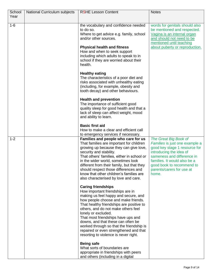| School  | National Curriculum subjects | <b>RSHE Lesson Content</b>                                                      | <b>Notes</b>                                            |
|---------|------------------------------|---------------------------------------------------------------------------------|---------------------------------------------------------|
| Year    |                              |                                                                                 |                                                         |
| $1 - 6$ |                              | the vocabulary and confidence needed                                            | words for genitals should also                          |
|         |                              | to do so.                                                                       | be mentioned and respected.                             |
|         |                              | Where to get advice e.g. family, school                                         | Vagina is an internal organ                             |
|         |                              | and/or other sources.                                                           | and should not need to be                               |
|         |                              |                                                                                 | mentioned until teaching                                |
|         |                              | <b>Physical health and fitness</b>                                              | about puberty or reproduction.                          |
|         |                              | How and when to seek support<br>including which adults to speak to in           |                                                         |
|         |                              | school if they are worried about their                                          |                                                         |
|         |                              | health.                                                                         |                                                         |
|         |                              |                                                                                 |                                                         |
|         |                              | <b>Healthy eating</b>                                                           |                                                         |
|         |                              | The characteristics of a poor diet and                                          |                                                         |
|         |                              | risks associated with unhealthy eating                                          |                                                         |
|         |                              | (including, for example, obesity and<br>tooth decay) and other behaviours.      |                                                         |
|         |                              |                                                                                 |                                                         |
|         |                              | <b>Health and prevention</b>                                                    |                                                         |
|         |                              | The importance of sufficient good                                               |                                                         |
|         |                              | quality sleep for good health and that a                                        |                                                         |
|         |                              | lack of sleep can affect weight, mood                                           |                                                         |
|         |                              | and ability to learn.                                                           |                                                         |
|         |                              | <b>Basic first aid</b>                                                          |                                                         |
|         |                              | How to make a clear and efficient call                                          |                                                         |
|         |                              | to emergency services if necessary.                                             |                                                         |
| $1 - 2$ |                              | Families and people who care for us<br>That families are important for children | The Great Big Book of<br>Families is just one example a |
|         |                              | growing up because they can give love,                                          | good key stage 1 resource for                           |
|         |                              | security and stability.                                                         | introducing the idea of                                 |
|         |                              | That others' families, either in school or                                      | sameness and difference in                              |
|         |                              | in the wider world, sometimes look                                              | families. It would also be a                            |
|         |                              | different from their family, but that they                                      | good book to recommend to                               |
|         |                              | should respect those differences and<br>know that other children's families are | parents/carers for use at                               |
|         |                              | also characterised by love and care.                                            | home.                                                   |
|         |                              |                                                                                 |                                                         |
|         |                              | <b>Caring friendships</b>                                                       |                                                         |
|         |                              | How important friendships are in                                                |                                                         |
|         |                              | making us feel happy and secure, and                                            |                                                         |
|         |                              | how people choose and make friends.<br>That healthy friendships are positive to |                                                         |
|         |                              | others, and do not make others feel                                             |                                                         |
|         |                              | lonely or excluded.                                                             |                                                         |
|         |                              | That most friendships have ups and                                              |                                                         |
|         |                              | downs, and that these can often be                                              |                                                         |
|         |                              | worked through so that the friendship is                                        |                                                         |
|         |                              | repaired or even strengthened and that                                          |                                                         |
|         |                              | resorting to violence is never right.                                           |                                                         |
|         |                              | <b>Being safe</b>                                                               |                                                         |
|         |                              | What sorts of boundaries are                                                    |                                                         |
|         |                              | appropriate in friendships with peers                                           |                                                         |
|         |                              | and others (including in a digital                                              |                                                         |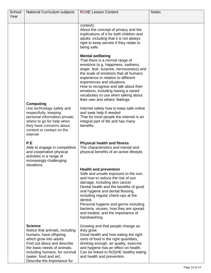| School | National Curriculum subjects                                                                                                                                                                                                                                 | <b>RSHE Lesson Content</b>                                                                                                                                                                                                                                                                                                                                                                                            | <b>Notes</b> |
|--------|--------------------------------------------------------------------------------------------------------------------------------------------------------------------------------------------------------------------------------------------------------------|-----------------------------------------------------------------------------------------------------------------------------------------------------------------------------------------------------------------------------------------------------------------------------------------------------------------------------------------------------------------------------------------------------------------------|--------------|
| Year   |                                                                                                                                                                                                                                                              |                                                                                                                                                                                                                                                                                                                                                                                                                       |              |
|        |                                                                                                                                                                                                                                                              |                                                                                                                                                                                                                                                                                                                                                                                                                       |              |
|        |                                                                                                                                                                                                                                                              | context).<br>About the concept of privacy and the<br>implications of it for both children and<br>adults; including that it is not always<br>right to keep secrets if they relate to<br>being safe.                                                                                                                                                                                                                    |              |
|        |                                                                                                                                                                                                                                                              | <b>Mental wellbeing</b><br>That there is a normal range of<br>emotions (e.g. happiness, sadness,<br>anger, fear, surprise, nervousness) and<br>the scale of emotions that all humans<br>experience in relation to different<br>experiences and situations.<br>How to recognise and talk about their<br>emotions, including having a varied<br>vocabulary to use when talking about<br>their own and others' feelings. |              |
|        | <b>Computing</b><br>Use technology safely and<br>respectfully, keeping<br>personal information private;<br>where to go for help when<br>they have concerns about<br>content or contact on the<br>internet                                                    | Internet safety how to keep safe online<br>and seek help if needed<br>That for most people the internet is an<br>integral part of life and has many<br>benefits.                                                                                                                                                                                                                                                      |              |
|        | P.E<br>Able to engage in competitive<br>and cooperative physical<br>activities in a range of<br>increasingly challenging<br>situations.                                                                                                                      | <b>Physical health and fitness</b><br>The characteristics and mental and<br>physical benefits of an active lifestyle.                                                                                                                                                                                                                                                                                                 |              |
|        |                                                                                                                                                                                                                                                              | <b>Health and prevention</b><br>Safe and unsafe exposure to the sun,<br>and how to reduce the risk of sun<br>damage, including skin cancer.<br>Dental health and the benefits of good<br>oral hygiene and dental flossing,<br>including regular check-ups at the<br>dentist.<br>Personal hygiene and germs including<br>bacteria, viruses, how they are spread<br>and treated, and the importance of<br>handwashing.  |              |
|        | <b>Science</b><br>Notice that animals, including<br>humans, have offspring<br>which grow into adults<br>Find out about and describe<br>the basic needs of animals,<br>including humans, for survival<br>(water, food and air)<br>Describe the importance for | Growing and that people change as<br>they grow.<br>Good health and how eating the right<br>sorts of food in the right quantities,<br>drinking enough, air quality, exercise<br>and hygiene has an effect on health.<br>Can be linked to R(S)HE healthy eating<br>and health and prevention.                                                                                                                           |              |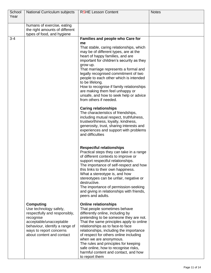| School  | National Curriculum subjects               | <b>RSHE Lesson Content</b>                                                        | <b>Notes</b> |
|---------|--------------------------------------------|-----------------------------------------------------------------------------------|--------------|
| Year    |                                            |                                                                                   |              |
|         | humans of exercise, eating                 |                                                                                   |              |
|         | the right amounts of different             |                                                                                   |              |
|         | types of food, and hygiene                 |                                                                                   |              |
| $3 - 4$ |                                            | Families and people who Care for                                                  |              |
|         |                                            | me<br>That stable, caring relationships, which                                    |              |
|         |                                            | may be of different types, are at the                                             |              |
|         |                                            | heart of happy families, and are                                                  |              |
|         |                                            | important for children's security as they                                         |              |
|         |                                            | grow up.<br>That marriage represents a formal and                                 |              |
|         |                                            | legally recognised commitment of two                                              |              |
|         |                                            | people to each other which is intended                                            |              |
|         |                                            | to be lifelong.                                                                   |              |
|         |                                            | How to recognise if family relationships<br>are making them feel unhappy or       |              |
|         |                                            | unsafe, and how to seek help or advice                                            |              |
|         |                                            | from others if needed.                                                            |              |
|         |                                            | <b>Caring relationships</b>                                                       |              |
|         |                                            | The characteristics of friendships,                                               |              |
|         |                                            | including mutual respect, truthfulness,<br>trustworthiness, loyalty, kindness,    |              |
|         |                                            | generosity, trust, sharing interests and                                          |              |
|         |                                            | experiences and support with problems                                             |              |
|         |                                            | and difficulties                                                                  |              |
|         |                                            | <b>Respectful relationships</b>                                                   |              |
|         |                                            | Practical steps they can take in a range                                          |              |
|         |                                            | of different contexts to improve or                                               |              |
|         |                                            | support respectful relationships.                                                 |              |
|         |                                            | The importance of self-respect and how<br>this links to their own happiness.      |              |
|         |                                            | What a stereotype is, and how                                                     |              |
|         |                                            | stereotypes can be unfair, negative or                                            |              |
|         |                                            | destructive.                                                                      |              |
|         |                                            | The importance of permission-seeking<br>and giving in relationships with friends, |              |
|         |                                            | peers and adults.                                                                 |              |
|         | <b>Computing</b>                           | <b>Online relationships</b>                                                       |              |
|         | Use technology safely,                     | That people sometimes behave                                                      |              |
|         | respectfully and responsibly,<br>recognise | differently online, including by<br>pretending to be someone they are not.        |              |
|         | acceptable/unacceptable                    | That the same principles apply to online                                          |              |
|         | behaviour, identify a range of             | relationships as to face-to face                                                  |              |
|         | ways to report concerns                    | relationships, including the importance                                           |              |
|         | about content and contact                  | of respect for others online including<br>when we are anonymous.                  |              |
|         |                                            | The rules and principles for keeping                                              |              |
|         |                                            | safe online, how to recognise risks,                                              |              |
|         |                                            | harmful content and contact, and how                                              |              |
|         |                                            | to report them                                                                    |              |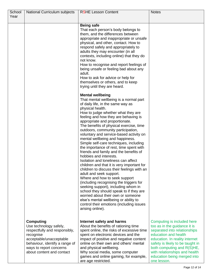| School | National Curriculum subjects   | <b>RSHE Lesson Content</b>                                                  | <b>Notes</b>                     |
|--------|--------------------------------|-----------------------------------------------------------------------------|----------------------------------|
| Year   |                                |                                                                             |                                  |
|        |                                |                                                                             |                                  |
|        |                                | <b>Being safe</b>                                                           |                                  |
|        |                                | That each person's body belongs to                                          |                                  |
|        |                                | them, and the differences between                                           |                                  |
|        |                                | appropriate and inappropriate or unsafe                                     |                                  |
|        |                                | physical, and other, contact. How to                                        |                                  |
|        |                                | respond safely and appropriately to                                         |                                  |
|        |                                | adults they may encounter (in all                                           |                                  |
|        |                                | contexts, including online) that they do                                    |                                  |
|        |                                | not know.                                                                   |                                  |
|        |                                | How to recognise and report feelings of                                     |                                  |
|        |                                | being unsafe or feeling bad about any                                       |                                  |
|        |                                | adult.                                                                      |                                  |
|        |                                | How to ask for advice or help for                                           |                                  |
|        |                                | themselves or others, and to keep                                           |                                  |
|        |                                | trying until they are heard.                                                |                                  |
|        |                                |                                                                             |                                  |
|        |                                | <b>Mental wellbeing</b>                                                     |                                  |
|        |                                | That mental wellbeing is a normal part<br>of daily life, in the same way as |                                  |
|        |                                | physical health.                                                            |                                  |
|        |                                | How to judge whether what they are                                          |                                  |
|        |                                | feeling and how they are behaving is                                        |                                  |
|        |                                | appropriate and proportionate.                                              |                                  |
|        |                                | The benefits of physical exercise, time                                     |                                  |
|        |                                | outdoors, community participation,                                          |                                  |
|        |                                | voluntary and service-based activity on                                     |                                  |
|        |                                | mental wellbeing and happiness.                                             |                                  |
|        |                                | Simple self-care techniques, including                                      |                                  |
|        |                                | the importance of rest, time spent with                                     |                                  |
|        |                                | friends and family and the benefits of                                      |                                  |
|        |                                | hobbies and interests.                                                      |                                  |
|        |                                | Isolation and loneliness can affect                                         |                                  |
|        |                                | children and that it is very important for                                  |                                  |
|        |                                | children to discuss their feelings with an                                  |                                  |
|        |                                | adult and seek support.                                                     |                                  |
|        |                                | Where and how to seek support                                               |                                  |
|        |                                | (including recognising the triggers for                                     |                                  |
|        |                                | seeking support), including whom in                                         |                                  |
|        |                                | school they should speak to if they are                                     |                                  |
|        |                                | worried about their own or someone                                          |                                  |
|        |                                | else's mental wellbeing or ability to                                       |                                  |
|        |                                | control their emotions (including issues                                    |                                  |
|        |                                | arising online).                                                            |                                  |
|        |                                |                                                                             |                                  |
|        | <b>Computing</b>               | Internet safety and harms                                                   | Computing is included here       |
|        | Use technology safely,         | About the benefits of rationing time                                        | too as in the guidance it is     |
|        | respectfully and responsibly,  | spent online, the risks of excessive time                                   | separated into relationships     |
|        | recognise                      | spent on electronic devices and the                                         | education and health             |
|        | acceptable/unacceptable        | impact of positive and negative content                                     | education. In reality internet   |
|        | behaviour, identify a range of | online on their own and others' mental                                      | safety is likely to be taught in |
|        | ways to report concerns        | and physical wellbeing.                                                     | both computing and R(S)HE,       |
|        | about content and contact      | Why social media, some computer                                             | with relationships and health    |
|        |                                | games and online gaming, for example,                                       | education being merged into      |
|        |                                | are age restricted.                                                         | one lesson.                      |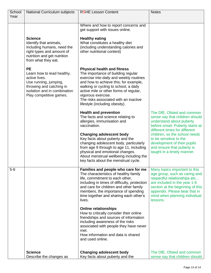| School<br>Year | National Curriculum subjects                                                                                                                                             | <b>RSHE Lesson Content</b>                                                                                                                                                                                                                                                                                                                       | <b>Notes</b>                                                                                                                                                                                                                                     |
|----------------|--------------------------------------------------------------------------------------------------------------------------------------------------------------------------|--------------------------------------------------------------------------------------------------------------------------------------------------------------------------------------------------------------------------------------------------------------------------------------------------------------------------------------------------|--------------------------------------------------------------------------------------------------------------------------------------------------------------------------------------------------------------------------------------------------|
|                |                                                                                                                                                                          |                                                                                                                                                                                                                                                                                                                                                  |                                                                                                                                                                                                                                                  |
|                |                                                                                                                                                                          | Where and how to report concerns and<br>get support with issues online.                                                                                                                                                                                                                                                                          |                                                                                                                                                                                                                                                  |
|                | <b>Science</b><br>Identify that animals,<br>including humans, need the<br>right types and amount of<br>nutrition and get nutrition<br>from what they eat.                | <b>Healthy eating</b><br>What constitutes a healthy diet<br>(including understanding calories and<br>other nutritional content)                                                                                                                                                                                                                  |                                                                                                                                                                                                                                                  |
|                | <b>PE</b><br>Learn how to lead healthy,<br>active lives.<br>Use running, jumping,<br>throwing and catching in<br>isolation and in combination<br>Play competitive games. | <b>Physical health and fitness</b><br>The importance of building regular<br>exercise into daily and weekly routines<br>and how to achieve this; for example,<br>walking or cycling to school, a daily<br>active mile or other forms of regular,<br>vigorous exercise.<br>The risks associated with an inactive<br>lifestyle (including obesity). |                                                                                                                                                                                                                                                  |
|                |                                                                                                                                                                          | <b>Health and prevention</b><br>The facts and science relating to<br>allergies, immunisation and<br>vaccination.                                                                                                                                                                                                                                 | The DfE, Ofsted and common<br>sense say that children should<br>understand about puberty<br>before onset. Puberty starts at<br>different times for different                                                                                     |
|                |                                                                                                                                                                          | <b>Changing adolescent body</b><br>Key facts about puberty and the<br>changing adolescent body, particularly<br>from age 9 through to age 11, including<br>physical and emotional changes.<br>About menstrual wellbeing including the<br>key facts about the menstrual cycle.                                                                    | children, so the school needs<br>to be sensitive to the<br>development of their pupils<br>and ensure that puberty is<br>taught in a timely manner.                                                                                               |
| $5-6$          |                                                                                                                                                                          | Families and people who care for me<br>The characteristics of healthy family<br>life, commitment to each other,<br>including in times of difficulty, protection<br>and care for children and other family<br>members, the importance of spending<br>time together and sharing each other's<br>lives.                                             | Many topics important to this<br>age group, such as caring and<br>respectful relationships etc<br>are included in the year 1-6<br>section at the beginning of this<br>appendix. Please bear that in<br>mind when planning individual<br>lessons. |
|                |                                                                                                                                                                          | <b>Online relationships</b><br>How to critically consider their online<br>friendships and sources of information<br>including awareness of the risks<br>associated with people they have never<br>met.<br>How information and data is shared<br>and used online.                                                                                 |                                                                                                                                                                                                                                                  |
|                | <b>Science</b><br>Describe the changes as                                                                                                                                | <b>Changing adolescent body</b><br>Key facts about puberty and the                                                                                                                                                                                                                                                                               | The DfE, Ofsted and common<br>sense say that children should                                                                                                                                                                                     |